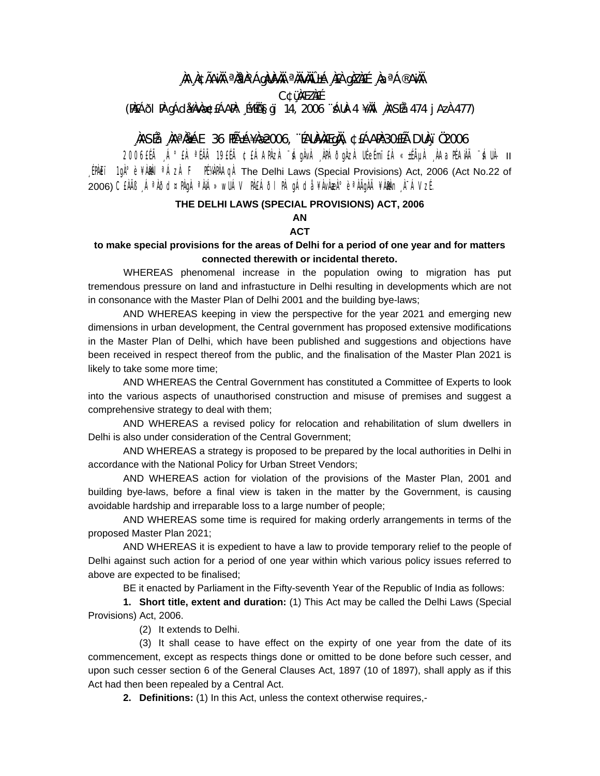# ,)) A na Asarî, jirêda bû, ku her wekî na dekî na Asarî

**C¢üMEZAEE** 

(PIEÁÕI PI gÁdi MacEÁAPI: É¥ÉÖSGI 14, 2006 "ÁUA-4 ¥IAI ASÉå 474 j AzA 477)

# ,)ASÉå ,)Aª)&ÁE 36 FÉñÁ¥)&2006, ¨ÉAUÀVÀÆg)Ä, ¢£ÁAPÀ:30EÉà DUÀ, ï Ö2006

11 -AUÀ" ÄÁAPABA, AyÃi±» Ai'imisil Asapõaqa, Avápa" Asapana ja aiste aista aiste al 2006 (2006) [PAET 1gA<sup>o</sup> è ¥AMAI<sup>a</sup> ÁzA F PÉVAPAAGA The Delhi Laws (Special Provisions) Act, 2006 (Act No.22 of 2006) CEÀÏB ¸ÁªÀÕd¤PÀgÀ ªÀiÁ»wUÁV PÀEÁÕI PÀ gÁdå ¥ÀvÀæÀ°è ªÀÄgÀÄ ¥À&h¬¸À¯ÁVzÉ.

#### THE DELHI LAWS (SPECIAL PROVISIONS) ACT, 2006

### **AN**

## **ACT**

## to make special provisions for the areas of Delhi for a period of one year and for matters connected therewith or incidental thereto.

WHEREAS phenomenal increase in the population owing to migration has put tremendous pressure on land and infrastucture in Delhi resulting in developments which are not in consonance with the Master Plan of Delhi 2001 and the building bye-laws;

AND WHEREAS keeping in view the perspective for the year 2021 and emerging new dimensions in urban development, the Central government has proposed extensive modifications in the Master Plan of Delhi, which have been published and suggestions and objections have been received in respect thereof from the public, and the finalisation of the Master Plan 2021 is likely to take some more time;

AND WHEREAS the Central Government has constituted a Committee of Experts to look into the various aspects of unauthorised construction and misuse of premises and suggest a comprehensive strategy to deal with them;

AND WHEREAS a revised policy for relocation and rehabilitation of slum dwellers in Delhi is also under consideration of the Central Government:

AND WHEREAS a strategy is proposed to be prepared by the local authorities in Delhi in accordance with the National Policy for Urban Street Vendors;

AND WHEREAS action for violation of the provisions of the Master Plan, 2001 and building bye-laws, before a final view is taken in the matter by the Government, is causing avoidable hardship and irreparable loss to a large number of people;

AND WHEREAS some time is required for making orderly arrangements in terms of the proposed Master Plan 2021;

AND WHEREAS it is expedient to have a law to provide temporary relief to the people of Delhi against such action for a period of one year within which various policy issues referred to above are expected to be finalised;

BE it enacted by Parliament in the Fifty-seventh Year of the Republic of India as follows:

1. Short title, extent and duration: (1) This Act may be called the Delhi Laws (Special Provisions) Act, 2006.

(2) It extends to Delhi.

(3) It shall cease to have effect on the expirty of one year from the date of its commencement, except as respects things done or omitted to be done before such cesser, and upon such cesser section 6 of the General Clauses Act, 1897 (10 of 1897), shall apply as if this Act had then been repealed by a Central Act.

2. Definitions: (1) In this Act, unless the context otherwise requires,-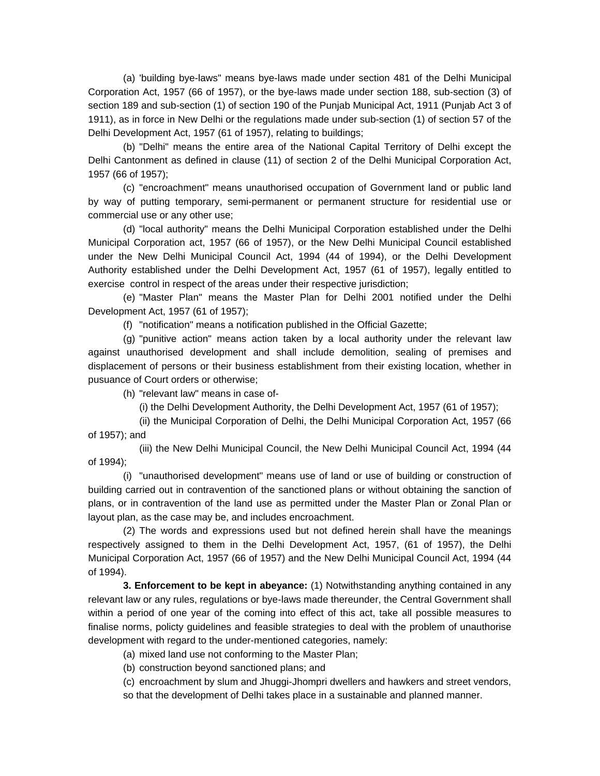(a) 'building bye-laws" means bye-laws made under section 481 of the Delhi Municipal Corporation Act, 1957 (66 of 1957), or the bye-laws made under section 188, sub-section (3) of section 189 and sub-section (1) of section 190 of the Punjab Municipal Act, 1911 (Punjab Act 3 of 1911), as in force in New Delhi or the regulations made under sub-section (1) of section 57 of the Delhi Development Act, 1957 (61 of 1957), relating to buildings;

 (b) "Delhi" means the entire area of the National Capital Territory of Delhi except the Delhi Cantonment as defined in clause (11) of section 2 of the Delhi Municipal Corporation Act, 1957 (66 of 1957);

 (c) "encroachment" means unauthorised occupation of Government land or public land by way of putting temporary, semi-permanent or permanent structure for residential use or commercial use or any other use;

 (d) "local authority" means the Delhi Municipal Corporation established under the Delhi Municipal Corporation act, 1957 (66 of 1957), or the New Delhi Municipal Council established under the New Delhi Municipal Council Act, 1994 (44 of 1994), or the Delhi Development Authority established under the Delhi Development Act, 1957 (61 of 1957), legally entitled to exercise control in respect of the areas under their respective jurisdiction;

 (e) "Master Plan" means the Master Plan for Delhi 2001 notified under the Delhi Development Act, 1957 (61 of 1957);

(f) "notification" means a notification published in the Official Gazette;

 (g) "punitive action" means action taken by a local authority under the relevant law against unauthorised development and shall include demolition, sealing of premises and displacement of persons or their business establishment from their existing location, whether in pusuance of Court orders or otherwise;

(h) "relevant law" means in case of-

(i) the Delhi Development Authority, the Delhi Development Act, 1957 (61 of 1957);

 (ii) the Municipal Corporation of Delhi, the Delhi Municipal Corporation Act, 1957 (66 of 1957); and

 (iii) the New Delhi Municipal Council, the New Delhi Municipal Council Act, 1994 (44 of 1994);

 (i) "unauthorised development" means use of land or use of building or construction of building carried out in contravention of the sanctioned plans or without obtaining the sanction of plans, or in contravention of the land use as permitted under the Master Plan or Zonal Plan or layout plan, as the case may be, and includes encroachment.

 (2) The words and expressions used but not defined herein shall have the meanings respectively assigned to them in the Delhi Development Act, 1957, (61 of 1957), the Delhi Municipal Corporation Act, 1957 (66 of 1957) and the New Delhi Municipal Council Act, 1994 (44 of 1994).

**3. Enforcement to be kept in abeyance:** (1) Notwithstanding anything contained in any relevant law or any rules, regulations or bye-laws made thereunder, the Central Government shall within a period of one year of the coming into effect of this act, take all possible measures to finalise norms, policty guidelines and feasible strategies to deal with the problem of unauthorise development with regard to the under-mentioned categories, namely:

(a) mixed land use not conforming to the Master Plan;

(b) construction beyond sanctioned plans; and

 (c) encroachment by slum and Jhuggi-Jhompri dwellers and hawkers and street vendors, so that the development of Delhi takes place in a sustainable and planned manner.